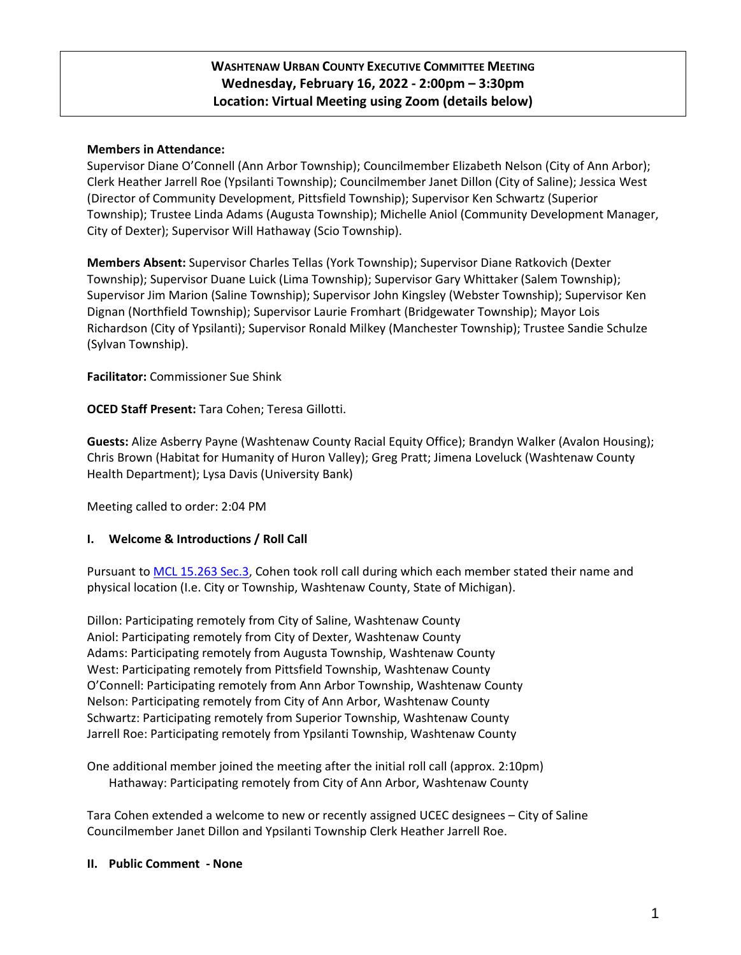# **WASHTENAW URBAN COUNTY EXECUTIVE COMMITTEE MEETING Wednesday, February 16, 2022 - 2:00pm – 3:30pm Location: Virtual Meeting using Zoom (details below)**

## **Members in Attendance:**

Supervisor Diane O'Connell (Ann Arbor Township); Councilmember Elizabeth Nelson (City of Ann Arbor); Clerk Heather Jarrell Roe (Ypsilanti Township); Councilmember Janet Dillon (City of Saline); Jessica West (Director of Community Development, Pittsfield Township); Supervisor Ken Schwartz (Superior Township); Trustee Linda Adams (Augusta Township); Michelle Aniol (Community Development Manager, City of Dexter); Supervisor Will Hathaway (Scio Township).

**Members Absent:** Supervisor Charles Tellas (York Township); Supervisor Diane Ratkovich (Dexter Township); Supervisor Duane Luick (Lima Township); Supervisor Gary Whittaker (Salem Township); Supervisor Jim Marion (Saline Township); Supervisor John Kingsley (Webster Township); Supervisor Ken Dignan (Northfield Township); Supervisor Laurie Fromhart (Bridgewater Township); Mayor Lois Richardson (City of Ypsilanti); Supervisor Ronald Milkey (Manchester Township); Trustee Sandie Schulze (Sylvan Township).

**Facilitator:** Commissioner Sue Shink

**OCED Staff Present:** Tara Cohen; Teresa Gillotti.

**Guests:** Alize Asberry Payne (Washtenaw County Racial Equity Office); Brandyn Walker (Avalon Housing); Chris Brown (Habitat for Humanity of Huron Valley); Greg Pratt; Jimena Loveluck (Washtenaw County Health Department); Lysa Davis (University Bank)

Meeting called to order: 2:04 PM

### **I. Welcome & Introductions / Roll Call**

Pursuant t[o MCL 15.263 Sec.3,](http://www.legislature.mi.gov/(S(axbjgekhx50tcsr2wezrew4a))/mileg.aspx?page=getObject&objectName=mcl-15-263) Cohen took roll call during which each member stated their name and physical location (I.e. City or Township, Washtenaw County, State of Michigan).

Dillon: Participating remotely from City of Saline, Washtenaw County Aniol: Participating remotely from City of Dexter, Washtenaw County Adams: Participating remotely from Augusta Township, Washtenaw County West: Participating remotely from Pittsfield Township, Washtenaw County O'Connell: Participating remotely from Ann Arbor Township, Washtenaw County Nelson: Participating remotely from City of Ann Arbor, Washtenaw County Schwartz: Participating remotely from Superior Township, Washtenaw County Jarrell Roe: Participating remotely from Ypsilanti Township, Washtenaw County

One additional member joined the meeting after the initial roll call (approx. 2:10pm) Hathaway: Participating remotely from City of Ann Arbor, Washtenaw County

Tara Cohen extended a welcome to new or recently assigned UCEC designees – City of Saline Councilmember Janet Dillon and Ypsilanti Township Clerk Heather Jarrell Roe.

**II. Public Comment - None**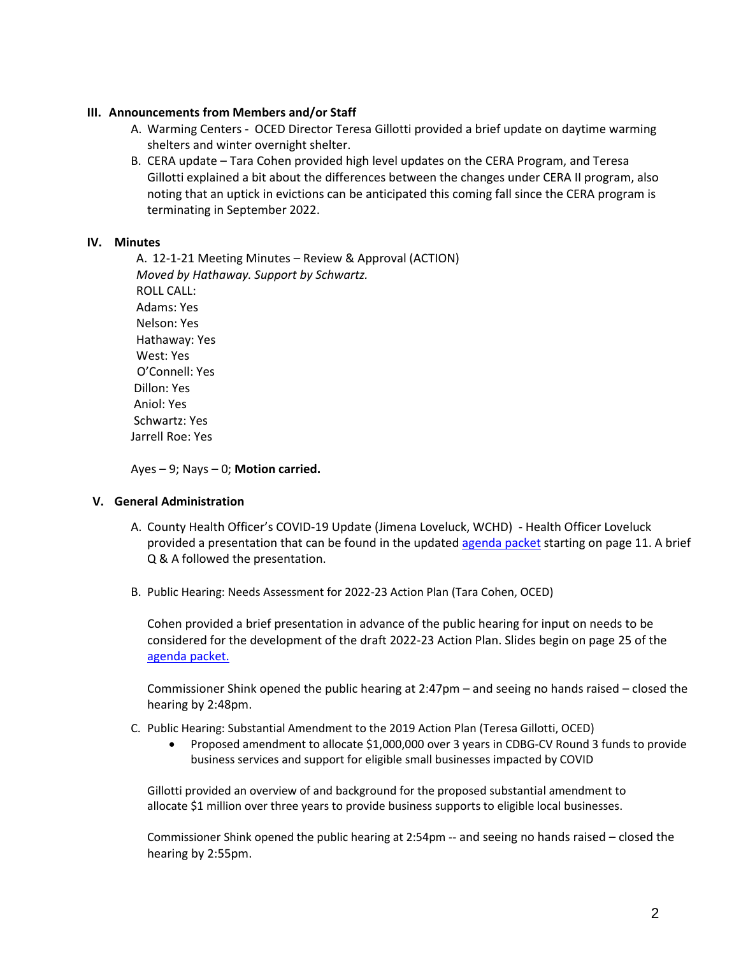#### **III. Announcements from Members and/or Staff**

- A. Warming Centers OCED Director Teresa Gillotti provided a brief update on daytime warming shelters and winter overnight shelter.
- B. CERA update Tara Cohen provided high level updates on the CERA Program, and Teresa Gillotti explained a bit about the differences between the changes under CERA II program, also noting that an uptick in evictions can be anticipated this coming fall since the CERA program is terminating in September 2022.

#### **IV. Minutes**

A. 12-1-21 Meeting Minutes – Review & Approval (ACTION) *Moved by Hathaway. Support by Schwartz.*  ROLL CALL: Adams: Yes Nelson: Yes Hathaway: Yes West: Yes O'Connell: Yes Dillon: Yes Aniol: Yes Schwartz: Yes Jarrell Roe: Yes

Ayes – 9; Nays – 0; **Motion carried.**

### **V. General Administration**

- A. County Health Officer's COVID-19 Update (Jimena Loveluck, WCHD) Health Officer Loveluck provided a presentation that can be found in the update[d agenda packet](https://www.washtenaw.org/AgendaCenter/ViewFile/Agenda/_02162022-1713) starting on page 11. A brief Q & A followed the presentation.
- B. Public Hearing: Needs Assessment for 2022-23 Action Plan (Tara Cohen, OCED)

Cohen provided a brief presentation in advance of the public hearing for input on needs to be considered for the development of the draft 2022-23 Action Plan. Slides begin on page 25 of the [agenda packet.](https://www.washtenaw.org/AgendaCenter/ViewFile/Agenda/_02162022-1713)

Commissioner Shink opened the public hearing at 2:47pm – and seeing no hands raised – closed the hearing by 2:48pm.

- C. Public Hearing: Substantial Amendment to the 2019 Action Plan (Teresa Gillotti, OCED)
	- Proposed amendment to allocate \$1,000,000 over 3 years in CDBG-CV Round 3 funds to provide business services and support for eligible small businesses impacted by COVID

Gillotti provided an overview of and background for the proposed substantial amendment to allocate \$1 million over three years to provide business supports to eligible local businesses.

Commissioner Shink opened the public hearing at 2:54pm -- and seeing no hands raised – closed the hearing by 2:55pm.